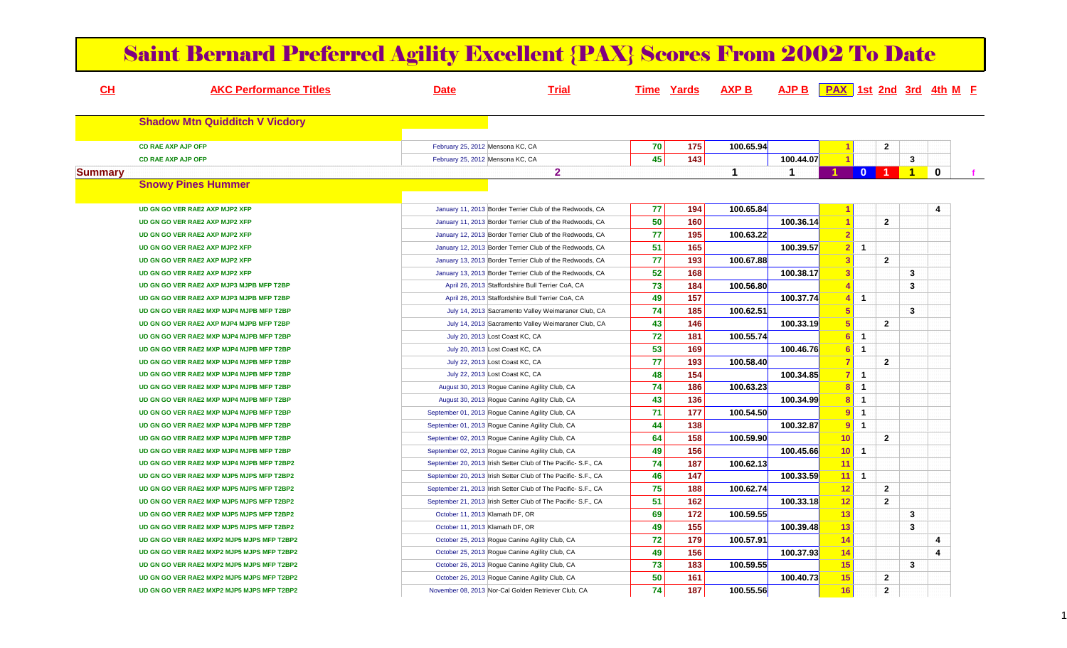| CH             | <b>AKC Performance Titles</b>              | <b>Date</b>                      | <b>Trial</b>                                                  |    | <b>Time Yards</b> | <b>AXP B</b> | AJP B   PAX   1st 2nd 3rd 4th M F |                         |                |                |                         |             |
|----------------|--------------------------------------------|----------------------------------|---------------------------------------------------------------|----|-------------------|--------------|-----------------------------------|-------------------------|----------------|----------------|-------------------------|-------------|
|                | <b>Shadow Mtn Quidditch V Vicdory</b>      |                                  |                                                               |    |                   |              |                                   |                         |                |                |                         |             |
|                | <b>CD RAE AXP AJP OFP</b>                  | February 25, 2012 Mensona KC, CA |                                                               | 70 | 175               | 100.65.94    |                                   |                         |                | $\mathbf{2}$   |                         |             |
|                | <b>CD RAE AXP AJP OFP</b>                  | February 25, 2012 Mensona KC, CA |                                                               | 45 | 143               |              | 100.44.07                         |                         |                |                | $\mathbf{3}$            |             |
| <b>Summary</b> |                                            |                                  | $\overline{2}$                                                |    |                   | $\mathbf 1$  | $\blacktriangleleft$              |                         | $\mathbf{0}$   |                | $\blacktriangleleft$    | $\mathbf 0$ |
|                | <b>Snowy Pines Hummer</b>                  |                                  |                                                               |    |                   |              |                                   |                         |                |                |                         |             |
|                | UD GN GO VER RAE2 AXP MJP2 XFP             |                                  | January 11, 2013 Border Terrier Club of the Redwoods, CA      | 77 | 194               | 100.65.84    |                                   | -1                      |                |                |                         | 4           |
|                | UD GN GO VER RAE2 AXP MJP2 XFP             |                                  | January 11, 2013 Border Terrier Club of the Redwoods, CA      | 50 | 160               |              | 100.36.14                         | -1                      |                | $\mathbf{2}$   |                         |             |
|                | UD GN GO VER RAE2 AXP MJP2 XFP             |                                  | January 12, 2013 Border Terrier Club of the Redwoods, CA      | 77 | 195               | 100.63.22    |                                   | $\overline{2}$          |                |                |                         |             |
|                | UD GN GO VER RAE2 AXP MJP2 XFP             |                                  | January 12, 2013 Border Terrier Club of the Redwoods, CA      | 51 | 165               |              | 100.39.57                         | $\overline{2}$          | $\overline{1}$ |                |                         |             |
|                | UD GN GO VER RAE2 AXP MJP2 XFP             |                                  | January 13, 2013 Border Terrier Club of the Redwoods, CA      | 77 | 193               | 100.67.88    |                                   | 3                       |                | $\overline{2}$ |                         |             |
|                | UD GN GO VER RAE2 AXP MJP2 XFP             |                                  | January 13, 2013 Border Terrier Club of the Redwoods, CA      | 52 | 168               |              | 100.38.17                         | $\overline{\mathbf{3}}$ |                |                | $\mathbf{3}$            |             |
|                | UD GN GO VER RAE2 AXP MJP3 MJPB MFP T2BP   |                                  | April 26, 2013 Staffordshire Bull Terrier CoA, CA             | 73 | 184               | 100.56.80    |                                   |                         |                |                | $\overline{\mathbf{3}}$ |             |
|                | UD GN GO VER RAE2 AXP MJP3 MJPB MFP T2BP   |                                  | April 26, 2013 Staffordshire Bull Terrier CoA, CA             | 49 | 157               |              | 100.37.74                         | $\overline{4}$          | $\overline{1}$ |                |                         |             |
|                | UD GN GO VER RAE2 MXP MJP4 MJPB MFP T2BP   |                                  | July 14, 2013 Sacramento Valley Weimaraner Club, CA           | 74 | 185               | 100.62.51    |                                   |                         |                |                | $\overline{\mathbf{3}}$ |             |
|                | UD GN GO VER RAE2 AXP MJP4 MJPB MFP T2BP   |                                  | July 14, 2013 Sacramento Valley Weimaraner Club, CA           | 43 | 146               |              | 100.33.19                         | 5                       |                | $\overline{2}$ |                         |             |
|                | UD GN GO VER RAE2 MXP MJP4 MJPB MFP T2BP   |                                  | July 20, 2013 Lost Coast KC, CA                               | 72 | 181               | 100.55.74    |                                   | -6                      | $\overline{1}$ |                |                         |             |
|                | UD GN GO VER RAE2 MXP MJP4 MJPB MFP T2BP   |                                  | July 20, 2013 Lost Coast KC, CA                               | 53 | 169               |              | 100.46.76                         | 6                       | $\overline{1}$ |                |                         |             |
|                | UD GN GO VER RAE2 MXP MJP4 MJPB MFP T2BP   |                                  | July 22, 2013 Lost Coast KC, CA                               | 77 | 193               | 100.58.40    |                                   | -7                      |                | $\overline{2}$ |                         |             |
|                | UD GN GO VER RAE2 MXP MJP4 MJPB MFP T2BP   |                                  | July 22, 2013 Lost Coast KC, CA                               | 48 | 154               |              | 100.34.85                         | -7                      | $\mathbf{1}$   |                |                         |             |
|                | UD GN GO VER RAE2 MXP MJP4 MJPB MFP T2BP   |                                  | August 30, 2013 Rogue Canine Agility Club, CA                 | 74 | 186               | 100.63.23    |                                   | $\overline{\mathbf{8}}$ | $\overline{1}$ |                |                         |             |
|                | UD GN GO VER RAE2 MXP MJP4 MJPB MFP T2BP   |                                  | August 30, 2013 Rogue Canine Agility Club, CA                 | 43 | 136               |              | 100.34.99                         | $\overline{8}$          | $\overline{1}$ |                |                         |             |
|                | UD GN GO VER RAE2 MXP MJP4 MJPB MFP T2BP   |                                  | September 01, 2013 Rogue Canine Agility Club, CA              | 71 | 177               | 100.54.50    |                                   | 9                       | $\overline{1}$ |                |                         |             |
|                | UD GN GO VER RAE2 MXP MJP4 MJPB MFP T2BP   |                                  | September 01, 2013 Rogue Canine Agility Club, CA              | 44 | 138               |              | 100.32.87                         | -9                      | $\overline{1}$ |                |                         |             |
|                | UD GN GO VER RAE2 MXP MJP4 MJPB MFP T2BP   |                                  | September 02, 2013 Rogue Canine Agility Club, CA              | 64 | 158               | 100.59.90    |                                   | 10                      |                | $\overline{2}$ |                         |             |
|                | UD GN GO VER RAE2 MXP MJP4 MJPB MFP T2BP   |                                  | September 02, 2013 Rogue Canine Agility Club, CA              | 49 | 156               |              | 100.45.66                         | 10 <sup>°</sup>         | $\blacksquare$ |                |                         |             |
|                | UD GN GO VER RAE2 MXP MJP4 MJPB MFP T2BP2  |                                  | September 20, 2013 Irish Setter Club of The Pacific- S.F., CA | 74 | 187               | 100.62.13    |                                   | 11                      |                |                |                         |             |
|                | UD GN GO VER RAE2 MXP MJP5 MJPS MFP T2BP2  |                                  | September 20, 2013 Irish Setter Club of The Pacific- S.F., CA | 46 | 147               |              | 100.33.59                         |                         | $11$ 1         |                |                         |             |
|                | UD GN GO VER RAE2 MXP MJP5 MJPS MFP T2BP2  |                                  | September 21, 2013 Irish Setter Club of The Pacific- S.F., CA | 75 | 188               | 100.62.74    |                                   | 12                      |                | $\overline{2}$ |                         |             |
|                | UD GN GO VER RAE2 MXP MJP5 MJPS MFP T2BP2  |                                  | September 21, 2013 Irish Setter Club of The Pacific- S.F., CA | 51 | 162               |              | 100.33.18                         | 12                      |                | $\overline{2}$ |                         |             |
|                | UD GN GO VER RAE2 MXP MJP5 MJPS MFP T2BP2  | October 11, 2013 Klamath DF, OR  |                                                               | 69 | 172               | 100.59.55    |                                   | 13                      |                |                | $\mathbf{3}$            |             |
|                | UD GN GO VER RAE2 MXP MJP5 MJPS MFP T2BP2  | October 11, 2013 Klamath DF, OR  |                                                               | 49 | 155               |              | 100.39.48                         | 13                      |                |                | $\mathbf{3}$            |             |
|                | UD GN GO VER RAE2 MXP2 MJP5 MJPS MFP T2BP2 |                                  | October 25, 2013 Rogue Canine Agility Club, CA                | 72 | 179               | 100.57.91    |                                   | 14                      |                |                |                         | 4           |
|                | UD GN GO VER RAE2 MXP2 MJP5 MJPS MFP T2BP2 |                                  | October 25, 2013 Rogue Canine Agility Club, CA                | 49 | 156               |              | 100.37.93                         | 14                      |                |                |                         | 4           |
|                | UD GN GO VER RAE2 MXP2 MJP5 MJPS MFP T2BP2 |                                  | October 26, 2013 Rogue Canine Agility Club, CA                | 73 | 183               | 100.59.55    |                                   | 15                      |                |                | $\mathbf{3}$            |             |
|                | UD GN GO VER RAE2 MXP2 MJP5 MJPS MFP T2BP2 |                                  | October 26, 2013 Rogue Canine Agility Club, CA                | 50 | 161               |              | 100.40.73                         | 15                      |                | $\mathbf{2}$   |                         |             |
|                | UD GN GO VER RAE2 MXP2 MJP5 MJPS MFP T2BP2 |                                  | November 08, 2013 Nor-Cal Golden Retriever Club, CA           | 74 | 187               | 100.55.56    |                                   | 16                      |                | $\mathbf{2}$   |                         |             |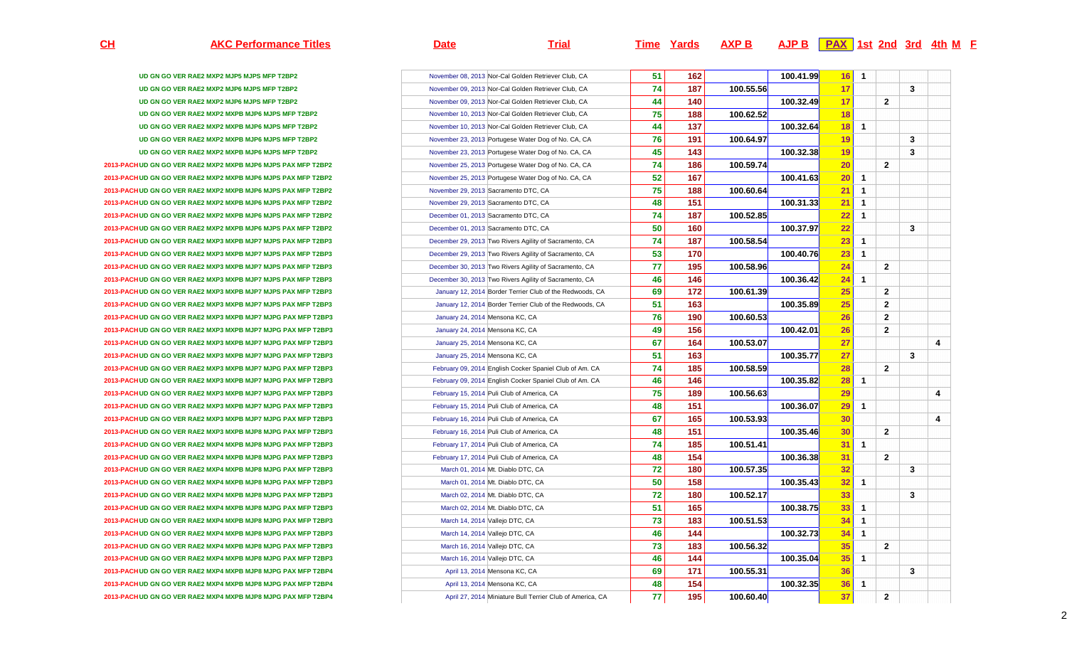**AKC Performance Titles Date Trial Time Yards AXP B AJP B PAX 1st 2nd 3rd 4th <sup>M</sup> <sup>F</sup>**

| UD GN GO VER RAE2 MXP2 MJP5 MJPS MFP T2BP2                    |
|---------------------------------------------------------------|
| UD GN GO VER RAE2 MXP2 MJP6 MJPS MFP T2BP2                    |
| UD GN GO VER RAE2 MXP2 MJP6 MJPS MFP T2BP2                    |
| UD GN GO VER RAE2 MXP2 MXPB MJP6 MJPS MFP T2BP2               |
| UD GN GO VER RAE2 MXP2 MXPB MJP6 MJPS MFP T2BP2               |
| UD GN GO VER RAE2 MXP2 MXPB MJP6 MJPS MFP T2BP2               |
| UD GN GO VER RAE2 MXP2 MXPB MJP6 MJPS MFP T2BP2               |
| 2013-PACH UD GN GO VER RAE2 MXP2 MXPB MJP6 MJPS PAX MFP T2BP2 |
| 2013-PACH UD GN GO VER RAE2 MXP2 MXPB MJP6 MJPS PAX MFP T2BP2 |
| 2013-PACH UD GN GO VER RAE2 MXP2 MXPB MJP6 MJPS PAX MFP T2BP2 |
| 2013-PACH UD GN GO VER RAE2 MXP2 MXPB MJP6 MJPS PAX MFP T2BP2 |
| 2013-PACH UD GN GO VER RAE2 MXP2 MXPB MJP6 MJPS PAX MFP T2BP2 |
| 2013-PACH UD GN GO VER RAE2 MXP2 MXPB MJP6 MJPS PAX MFP T2BP2 |
| 2013-PACH UD GN GO VER RAE2 MXP3 MXPB MJP7 MJPS PAX MFP T2BP3 |
| 2013-PACH UD GN GO VER RAE2 MXP3 MXPB MJP7 MJPS PAX MFP T2BP3 |
| 2013-PACH UD GN GO VER RAE2 MXP3 MXPB MJP7 MJPS PAX MFP T2BP3 |
| 2013-PACH UD GN GO VER RAE2 MXP3 MXPB MJP7 MJPS PAX MFP T2BP3 |
| 2013-PACH UD GN GO VER RAE2 MXP3 MXPB MJP7 MJPS PAX MFP T2BP3 |
| 2013-PACH UD GN GO VER RAE2 MXP3 MXPB MJP7 MJPS PAX MFP T2BP3 |
| 2013-PACH UD GN GO VER RAE2 MXP3 MXPB MJP7 MJPG PAX MFP T2BP3 |
| 2013-PACH UD GN GO VER RAE2 MXP3 MXPB MJP7 MJPG PAX MFP T2BP3 |
| 2013-PACH UD GN GO VER RAE2 MXP3 MXPB MJP7 MJPG PAX MFP T2BP3 |
| 2013-PACH UD GN GO VER RAE2 MXP3 MXPB MJP7 MJPG PAX MFP T2BP3 |
| 2013-PACH UD GN GO VER RAE2 MXP3 MXPB MJP7 MJPG PAX MFP T2BP3 |
| 2013-PACH UD GN GO VER RAE2 MXP3 MXPB MJP7 MJPG PAX MFP T2BP3 |
| 2013-PACH UD GN GO VER RAE2 MXP3 MXPB MJP7 MJPG PAX MFP T2BP3 |
| 2013-PACH UD GN GO VER RAE2 MXP3 MXPB MJP7 MJPG PAX MFP T2BP3 |
| 2013-PACH UD GN GO VER RAE2 MXP3 MXPB MJP7 MJPG PAX MFP T2BP3 |
| 2013-PACH UD GN GO VER RAE2 MXP3 MXPB MJP8 MJPG PAX MFP T2BP3 |
| 2013-PACH UD GN GO VER RAE2 MXP4 MXPB MJP8 MJPG PAX MFP T2BP3 |
| 2013-PACH UD GN GO VER RAE2 MXP4 MXPB MJP8 MJPG PAX MFP T2BP3 |
| 2013-PACH UD GN GO VER RAE2 MXP4 MXPB MJP8 MJPG PAX MFP T2BP3 |
| 2013-PACH UD GN GO VER RAE2 MXP4 MXPB MJP8 MJPG PAX MFP T2BP3 |
| 2013-PACH UD GN GO VER RAE2 MXP4 MXPB MJP8 MJPG PAX MFP T2BP3 |
| 2013-PACH UD GN GO VER RAE2 MXP4 MXPB MJP8 MJPG PAX MFP T2BP3 |
| 2013-PACH UD GN GO VER RAE2 MXP4 MXPB MJP8 MJPG PAX MFP T2BP3 |
| 2013-PACH UD GN GO VER RAE2 MXP4 MXPB MJP8 MJPG PAX MFP T2BP3 |
| 2013-PACH UD GN GO VER RAE2 MXP4 MXPB MJP8 MJPG PAX MFP T2BP3 |
| 2013-PACH UD GN GO VER RAE2 MXP4 MXPB MJP8 MJPG PAX MFP T2BP3 |
| 2013-PACH UD GN GO VER RAE2 MXP4 MXPB MJP8 MJPG PAX MFP T2BP4 |
| 2013-PACH UD GN GO VER RAE2 MXP4 MXPB MJP8 MJPG PAX MFP T2BP4 |
| 2013-PACH UD GN GO VER RAE2 MXP4 MXPB MJP8 MJPG PAX MFP T2BP4 |

|                                |                                 | November 08, 2013 Nor-Cal Golden Retriever Club, CA       | 51 | 162 |           | 100.41.99 | 16 | $\mathbf{1}$ |                |   |   |
|--------------------------------|---------------------------------|-----------------------------------------------------------|----|-----|-----------|-----------|----|--------------|----------------|---|---|
| $\overline{a}$                 |                                 | November 09, 2013 Nor-Cal Golden Retriever Club, CA       | 74 | 187 | 100.55.56 |           | 17 |              |                | 3 |   |
| $\overline{2}$                 |                                 | November 09, 2013 Nor-Cal Golden Retriever Club, CA       | 44 | 140 |           | 100.32.49 | 17 |              | 2              |   |   |
| T <sub>2</sub> BP <sub>2</sub> |                                 | November 10, 2013 Nor-Cal Golden Retriever Club, CA       | 75 | 188 | 100.62.52 |           | 18 |              |                |   |   |
| T2BP2                          |                                 | November 10, 2013 Nor-Cal Golden Retriever Club, CA       | 44 | 137 |           | 100.32.64 | 18 | $\mathbf 1$  |                |   |   |
| T2BP2                          |                                 | November 23, 2013 Portugese Water Dog of No. CA, CA       | 76 | 191 | 100.64.97 |           | 19 |              |                | 3 |   |
| T <sub>2</sub> BP <sub>2</sub> |                                 | November 23, 2013 Portugese Water Dog of No. CA, CA       | 45 | 143 |           | 100.32.38 | 19 |              |                | 3 |   |
| <b>MFP T2BP2</b>               |                                 | November 25, 2013 Portugese Water Dog of No. CA, CA       | 74 | 186 | 100.59.74 |           | 20 |              | $\mathbf{2}$   |   |   |
| <b>MFP T2BP2</b>               |                                 | November 25, 2013 Portugese Water Dog of No. CA, CA       | 52 | 167 |           | 100.41.63 | 20 | $\mathbf{1}$ |                |   |   |
| <b>MFP T2BP2</b>               |                                 | November 29, 2013 Sacramento DTC, CA                      | 75 | 188 | 100.60.64 |           | 21 | 1            |                |   |   |
| <b>MFP T2BP2</b>               |                                 | November 29, 2013 Sacramento DTC, CA                      | 48 | 151 |           | 100.31.33 | 21 | $\mathbf{1}$ |                |   |   |
| MFP T2BP2                      |                                 | December 01, 2013 Sacramento DTC, CA                      | 74 | 187 | 100.52.85 |           | 22 | $\mathbf{1}$ |                |   |   |
| <b>MFP T2BP2</b>               |                                 | December 01, 2013 Sacramento DTC, CA                      | 50 | 160 |           | 100.37.97 | 22 |              |                | 3 |   |
| MFP T2BP3                      |                                 | December 29, 2013 Two Rivers Agility of Sacramento, CA    | 74 | 187 | 100.58.54 |           | 23 | 1            |                |   |   |
| MFP T2BP3                      |                                 | December 29, 2013 Two Rivers Agility of Sacramento, CA    | 53 | 170 |           | 100.40.76 | 23 | $\mathbf{1}$ |                |   |   |
| <b>MFP T2BP3</b>               |                                 | December 30, 2013 Two Rivers Agility of Sacramento, CA    | 77 | 195 | 100.58.96 |           | 24 |              | $\mathbf{2}$   |   |   |
| <b>MFP T2BP3</b>               |                                 | December 30, 2013 Two Rivers Agility of Sacramento, CA    | 46 | 146 |           | 100.36.42 | 24 | $\mathbf{1}$ |                |   |   |
| <b>MFP T2BP3</b>               |                                 | January 12, 2014 Border Terrier Club of the Redwoods, CA  | 69 | 172 | 100.61.39 |           | 25 |              | $\mathbf{2}$   |   |   |
| <b>MFP T2BP3</b>               |                                 | January 12, 2014 Border Terrier Club of the Redwoods, CA  | 51 | 163 |           | 100.35.89 | 25 |              | $\mathbf{2}$   |   |   |
| <b>(MFP T2BP3</b>              | January 24, 2014 Mensona KC, CA |                                                           | 76 | 190 | 100.60.53 |           | 26 |              | $\mathbf{2}$   |   |   |
| <b>(MFP T2BP3</b>              | January 24, 2014 Mensona KC, CA |                                                           | 49 | 156 |           | 100.42.01 | 26 |              | $\mathbf{2}$   |   |   |
| <b>(MFP T2BP3</b>              | January 25, 2014 Mensona KC, CA |                                                           | 67 | 164 | 100.53.07 |           | 27 |              |                |   | 4 |
| <b>(MFP T2BP3</b>              | January 25, 2014 Mensona KC, CA |                                                           | 51 | 163 |           | 100.35.77 | 27 |              |                | 3 |   |
| <b>(MFP T2BP3</b>              |                                 | February 09, 2014 English Cocker Spaniel Club of Am. CA   | 74 | 185 | 100.58.59 |           | 28 |              | $\mathbf{2}$   |   |   |
| <b>MFP T2BP3</b>               |                                 | February 09, 2014 English Cocker Spaniel Club of Am. CA   | 46 | 146 |           | 100.35.82 | 28 | $\mathbf{1}$ |                |   |   |
| <b>(MFP T2BP3</b>              |                                 | February 15, 2014 Puli Club of America, CA                | 75 | 189 | 100.56.63 |           | 29 |              |                |   | 4 |
| <b>(MFP T2BP3</b>              |                                 | February 15, 2014 Puli Club of America, CA                | 48 | 151 |           | 100.36.07 | 29 | $\mathbf{1}$ |                |   |   |
| <b>(MFP T2BP3</b>              |                                 | February 16, 2014 Puli Club of America, CA                | 67 | 165 | 100.53.93 |           | 30 |              |                |   | 4 |
| <b>(MFP T2BP3</b>              |                                 | February 16, 2014 Puli Club of America, CA                | 48 | 151 |           | 100.35.46 | 30 |              | $\mathbf{2}$   |   |   |
| <b>(MFP T2BP3</b>              |                                 | February 17, 2014 Puli Club of America, CA                | 74 | 185 | 100.51.41 |           | 31 | $\mathbf{1}$ |                |   |   |
| <b>MFP T2BP3</b>               |                                 | February 17, 2014 Puli Club of America, CA                | 48 | 154 |           | 100.36.38 | 31 |              | $\overline{2}$ |   |   |
| <b>(MFP T2BP3</b>              |                                 | March 01, 2014 Mt. Diablo DTC, CA                         | 72 | 180 | 100.57.35 |           | 32 |              |                | 3 |   |
| (MFP T2BP3                     |                                 | March 01, 2014 Mt. Diablo DTC, CA                         | 50 | 158 |           | 100.35.43 | 32 | -1           |                |   |   |
| <b>(MFP T2BP3</b>              |                                 | March 02, 2014 Mt. Diablo DTC, CA                         | 72 | 180 | 100.52.17 |           | 33 |              |                | 3 |   |
| <b>(MFP T2BP3</b>              |                                 | March 02, 2014 Mt. Diablo DTC, CA                         | 51 | 165 |           | 100.38.75 | 33 | $\mathbf{1}$ |                |   |   |
| <b>(MFP T2BP3</b>              |                                 | March 14, 2014 Vallejo DTC, CA                            | 73 | 183 | 100.51.53 |           | 34 | $\mathbf{1}$ |                |   |   |
| <b>(MFP T2BP3</b>              | March 14, 2014 Vallejo DTC, CA  |                                                           | 46 | 144 |           | 100.32.73 | 34 | $\mathbf{1}$ |                |   |   |
| <b>(MFP T2BP3</b>              |                                 | March 16, 2014 Vallejo DTC, CA                            | 73 | 183 | 100.56.32 |           | 35 |              | $\mathbf{2}$   |   |   |
| <b>(MFP T2BP3</b>              |                                 | March 16, 2014 Vallejo DTC, CA                            | 46 | 144 |           | 100.35.04 | 35 | $\mathbf{1}$ |                |   |   |
| <b>(MFP T2BP4</b>              |                                 | April 13, 2014 Mensona KC, CA                             | 69 | 171 | 100.55.31 |           | 36 |              |                | 3 |   |
| <b>(MFP T2BP4</b>              |                                 | April 13, 2014 Mensona KC, CA                             | 48 | 154 |           | 100.32.35 | 36 | $\mathbf{1}$ |                |   |   |
| <b>MFP T2BP4</b>               |                                 | April 27, 2014 Miniature Bull Terrier Club of America, CA | 77 | 195 | 100.60.40 |           | 37 |              | $\mathbf{2}$   |   |   |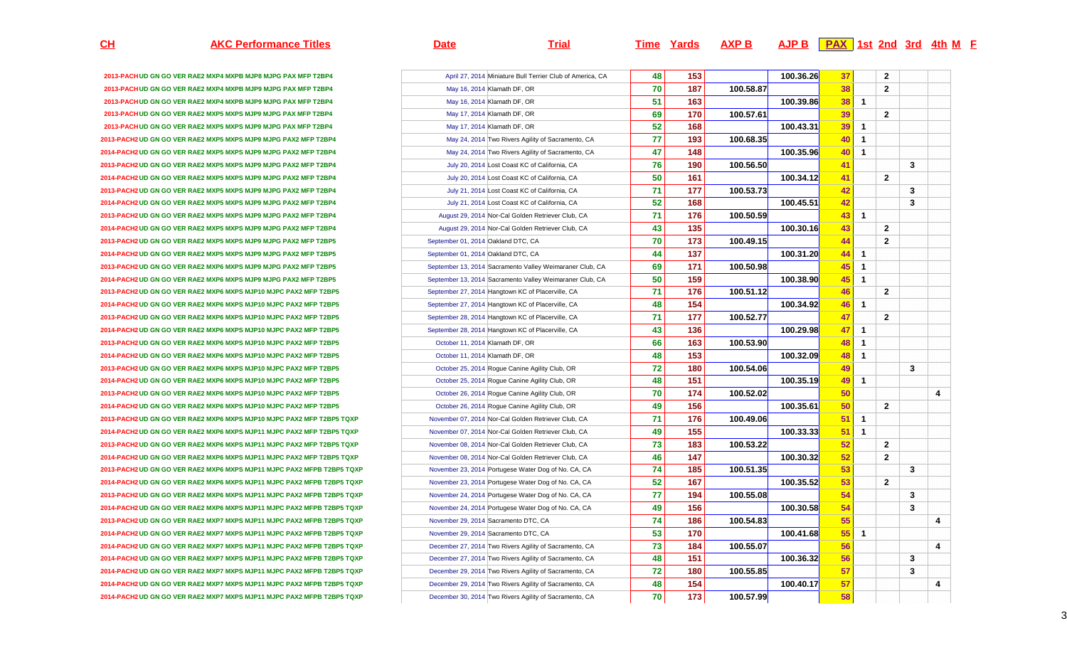## **AKC Performance Titles Date Trial Time Yards AXP B AJP B PAX 1st 2nd 3rd 4th <sup>M</sup> <sup>F</sup>**

| 2013-PACH UD GN GO VER RAE2 MXP4 MXPB MJP8 MJPG PAX MFP T2BP4          | April 27, 2014 Miniature Bull Terrier Club of America, CA |
|------------------------------------------------------------------------|-----------------------------------------------------------|
| 2013-PACH UD GN GO VER RAE2 MXP4 MXPB MJP9 MJPG PAX MFP T2BP4          | May 16, 2014 Klamath DF, OR                               |
| 2013-PACH UD GN GO VER RAE2 MXP4 MXPB MJP9 MJPG PAX MFP T2BP4          | May 16, 2014 Klamath DF, OR                               |
| 2013-PACH UD GN GO VER RAE2 MXP5 MXPS MJP9 MJPG PAX MFP T2BP4          | May 17, 2014 Klamath DF, OR                               |
| 2013-PACH UD GN GO VER RAE2 MXP5 MXPS MJP9 MJPG PAX MFP T2BP4          | May 17, 2014 Klamath DF, OR                               |
| 2013-PACH2 UD GN GO VER RAE2 MXP5 MXPS MJP9 MJPG PAX2 MFP T2BP4        | May 24, 2014 Two Rivers Agility of Sacramento, CA         |
| 2014-PACH2 UD GN GO VER RAE2 MXP5 MXPS MJP9 MJPG PAX2 MFP T2BP4        | May 24, 2014 Two Rivers Agility of Sacramento, CA         |
| 2013-PACH2 UD GN GO VER RAE2 MXP5 MXPS MJP9 MJPG PAX2 MFP T2BP4        | July 20, 2014 Lost Coast KC of California, CA             |
| 2014-PACH2 UD GN GO VER RAE2 MXP5 MXPS MJP9 MJPG PAX2 MFP T2BP4        | July 20, 2014 Lost Coast KC of California, CA             |
| 2013-PACH2 UD GN GO VER RAE2 MXP5 MXPS MJP9 MJPG PAX2 MFP T2BP4        | July 21, 2014 Lost Coast KC of California, CA             |
| 2014-PACH2 UD GN GO VER RAE2 MXP5 MXPS MJP9 MJPG PAX2 MFP T2BP4        | July 21, 2014 Lost Coast KC of California, CA             |
| 2013-PACH2 UD GN GO VER RAE2 MXP5 MXPS MJP9 MJPG PAX2 MFP T2BP4        | August 29, 2014 Nor-Cal Golden Retriever Club, CA         |
| 2014-PACH2 UD GN GO VER RAE2 MXP5 MXPS MJP9 MJPG PAX2 MFP T2BP4        | August 29, 2014 Nor-Cal Golden Retriever Club, CA         |
| 2013-PACH2 UD GN GO VER RAE2 MXP5 MXPS MJP9 MJPG PAX2 MFP T2BP5        | September 01, 2014 Oakland DTC, CA                        |
| 2014-PACH2 UD GN GO VER RAE2 MXP5 MXPS MJP9 MJPG PAX2 MFP T2BP5        | September 01, 2014 Oakland DTC, CA                        |
| 2013-PACH2 UD GN GO VER RAE2 MXP6 MXPS MJP9 MJPG PAX2 MFP T2BP5        | September 13, 2014 Sacramento Valley Weimaraner Club, CA  |
| 2014-PACH2 UD GN GO VER RAE2 MXP6 MXPS MJP9 MJPG PAX2 MFP T2BP5        | September 13, 2014 Sacramento Valley Weimaraner Club, CA  |
| 2013-PACH2 UD GN GO VER RAE2 MXP6 MXPS MJP10 MJPC PAX2 MFP T2BP5       | September 27, 2014 Hangtown KC of Placerville, CA         |
| 2014-PACH2 UD GN GO VER RAE2 MXP6 MXPS MJP10 MJPC PAX2 MFP T2BP5       | September 27, 2014 Hangtown KC of Placerville, CA         |
| 2013-PACH2 UD GN GO VER RAE2 MXP6 MXPS MJP10 MJPC PAX2 MFP T2BP5       | September 28, 2014 Hangtown KC of Placerville, CA         |
| 2014-PACH2 UD GN GO VER RAE2 MXP6 MXPS MJP10 MJPC PAX2 MFP T2BP5       | September 28, 2014 Hangtown KC of Placerville, CA         |
| 2013-PACH2 UD GN GO VER RAE2 MXP6 MXPS MJP10 MJPC PAX2 MFP T2BP5       | October 11, 2014 Klamath DF, OR                           |
| 2014-PACH2 UD GN GO VER RAE2 MXP6 MXPS MJP10 MJPC PAX2 MFP T2BP5       | October 11, 2014 Klamath DF, OR                           |
| 2013-PACH2 UD GN GO VER RAE2 MXP6 MXPS MJP10 MJPC PAX2 MFP T2BP5       | October 25, 2014 Rogue Canine Agility Club, OR            |
| 2014-PACH2 UD GN GO VER RAE2 MXP6 MXPS MJP10 MJPC PAX2 MFP T2BP5       | October 25, 2014 Rogue Canine Agility Club, OR            |
| 2013-PACH2 UD GN GO VER RAE2 MXP6 MXPS MJP10 MJPC PAX2 MFP T2BP5       | October 26, 2014 Rogue Canine Agility Club, OR            |
| 2014-PACH2 UD GN GO VER RAE2 MXP6 MXPS MJP10 MJPC PAX2 MFP T2BP5       | October 26, 2014 Rogue Canine Agility Club, OR            |
| 2013-PACH2 UD GN GO VER RAE2 MXP6 MXPS MJP10 MJPC PAX2 MFP T2BP5 TQXP  | November 07, 2014 Nor-Cal Golden Retriever Club, CA       |
| 2014-PACH2 UD GN GO VER RAE2 MXP6 MXPS MJP11 MJPC PAX2 MFP T2BP5 TQXP  | November 07, 2014 Nor-Cal Golden Retriever Club, CA       |
| 2013-PACH2 UD GN GO VER RAE2 MXP6 MXPS MJP11 MJPC PAX2 MFP T2BP5 TQXP  | November 08, 2014 Nor-Cal Golden Retriever Club, CA       |
| 2014-PACH2 UD GN GO VER RAE2 MXP6 MXPS MJP11 MJPC PAX2 MFP T2BP5 TQXP  | November 08, 2014 Nor-Cal Golden Retriever Club, CA       |
| 2013-PACH2 UD GN GO VER RAE2 MXP6 MXPS MJP11 MJPC PAX2 MFPB T2BP5 TQXP | November 23, 2014 Portugese Water Dog of No. CA, CA       |
| 2014-PACH2 UD GN GO VER RAE2 MXP6 MXPS MJP11 MJPC PAX2 MFPB T2BP5 TQXP | November 23, 2014 Portugese Water Dog of No. CA, CA       |
| 2013-PACH2 UD GN GO VER RAE2 MXP6 MXPS MJP11 MJPC PAX2 MFPB T2BP5 TQXP | November 24, 2014 Portugese Water Dog of No. CA, CA       |
| 2014-PACH2 UD GN GO VER RAE2 MXP6 MXPS MJP11 MJPC PAX2 MFPB T2BP5 TQXP | November 24, 2014 Portugese Water Dog of No. CA, CA       |
| 2013-PACH2 UD GN GO VER RAE2 MXP7 MXPS MJP11 MJPC PAX2 MFPB T2BP5 TQXP | November 29, 2014 Sacramento DTC, CA                      |
| 2014-PACH2 UD GN GO VER RAE2 MXP7 MXPS MJP11 MJPC PAX2 MFPB T2BP5 TQXP | November 29, 2014 Sacramento DTC, CA                      |
| 2014-PACH2 UD GN GO VER RAE2 MXP7 MXPS MJP11 MJPC PAX2 MFPB T2BP5 TQXP | December 27, 2014 Two Rivers Agility of Sacramento, CA    |
| 2014-PACH2 UD GN GO VER RAE2 MXP7 MXPS MJP11 MJPC PAX2 MFPB T2BP5 TQXP | December 27, 2014 Two Rivers Agility of Sacramento, CA    |
| 2014-PACH2 UD GN GO VER RAE2 MXP7 MXPS MJP11 MJPC PAX2 MFPB T2BP5 TQXP | December 29, 2014 Two Rivers Agility of Sacramento, CA    |
| 2014-PACH2 UD GN GO VER RAE2 MXP7 MXPS MJP11 MJPC PAX2 MFPB T2BP5 TQXP | December 29, 2014 Two Rivers Agility of Sacramento, CA    |
| 2014-PACH2 UD GN GO VER RAE2 MXP7 MXPS MJP11 MJPC PAX2 MFPB T2BP5 TQXP | December 30, 2014 Two Rivers Agility of Sacramento, CA    |

|    |                                    | April 27, 2014 Miniature Bull Terrier Club of America, CA | 48 | 153 |           | 100.36.26 | 37 |              | $\mathbf{2}$ |   |   |
|----|------------------------------------|-----------------------------------------------------------|----|-----|-----------|-----------|----|--------------|--------------|---|---|
|    |                                    | May 16, 2014 Klamath DF, OR                               | 70 | 187 | 100.58.87 |           | 38 |              | $\mathbf{2}$ |   |   |
|    |                                    | May 16, 2014 Klamath DF, OR                               | 51 | 163 |           | 100.39.86 | 38 | $\mathbf{1}$ |              |   |   |
|    |                                    | May 17, 2014 Klamath DF, OR                               | 69 | 170 | 100.57.61 |           | 39 |              | $\mathbf{2}$ |   |   |
|    |                                    | May 17, 2014 Klamath DF, OR                               | 52 | 168 |           | 100.43.31 | 39 | 1            |              |   |   |
|    |                                    | May 24, 2014 Two Rivers Agility of Sacramento, CA         | 77 | 193 | 100.68.35 |           | 40 | 1            |              |   |   |
|    |                                    | May 24, 2014 Two Rivers Agility of Sacramento, CA         | 47 | 148 |           | 100.35.96 | 40 | 1            |              |   |   |
|    |                                    | July 20, 2014 Lost Coast KC of California, CA             | 76 | 190 | 100.56.50 |           | 41 |              |              | 3 |   |
|    |                                    | July 20, 2014 Lost Coast KC of California, CA             | 50 | 161 |           | 100.34.12 | 41 |              | 2            |   |   |
|    |                                    | July 21, 2014 Lost Coast KC of California, CA             | 71 | 177 | 100.53.73 |           | 42 |              |              | 3 |   |
|    |                                    | July 21, 2014 Lost Coast KC of California, CA             | 52 | 168 |           | 100.45.51 | 42 |              |              | 3 |   |
|    |                                    | August 29, 2014 Nor-Cal Golden Retriever Club, CA         | 71 | 176 | 100.50.59 |           | 43 | 1            |              |   |   |
|    |                                    | August 29, 2014 Nor-Cal Golden Retriever Club, CA         | 43 | 135 |           | 100.30.16 | 43 |              | $\mathbf{2}$ |   |   |
|    | September 01, 2014 Oakland DTC, CA |                                                           | 70 | 173 | 100.49.15 |           | 44 |              | $\mathbf{2}$ |   |   |
|    | September 01, 2014 Oakland DTC, CA |                                                           | 44 | 137 |           | 100.31.20 | 44 | $\mathbf{1}$ |              |   |   |
|    |                                    | September 13, 2014 Sacramento Valley Weimaraner Club, CA  | 69 | 171 | 100.50.98 |           | 45 | 1            |              |   |   |
|    |                                    | September 13, 2014 Sacramento Valley Weimaraner Club, CA  | 50 | 159 |           | 100.38.90 | 45 | 1            |              |   |   |
|    |                                    | September 27, 2014 Hangtown KC of Placerville, CA         | 71 | 176 | 100.51.12 |           | 46 |              | $\mathbf{2}$ |   |   |
|    |                                    | September 27, 2014 Hangtown KC of Placerville, CA         | 48 | 154 |           | 100.34.92 | 46 | $\mathbf{1}$ |              |   |   |
|    |                                    | September 28, 2014 Hangtown KC of Placerville, CA         | 71 | 177 | 100.52.77 |           | 47 |              | $\mathbf{2}$ |   |   |
|    |                                    | September 28, 2014 Hangtown KC of Placerville, CA         | 43 | 136 |           | 100.29.98 | 47 | 1            |              |   |   |
|    | October 11, 2014 Klamath DF, OR    |                                                           | 66 | 163 | 100.53.90 |           | 48 | 1            |              |   |   |
|    | October 11, 2014 Klamath DF, OR    |                                                           | 48 | 153 |           | 100.32.09 | 48 | 1            |              |   |   |
|    |                                    | October 25, 2014 Rogue Canine Agility Club, OR            | 72 | 180 | 100.54.06 |           | 49 |              |              | 3 |   |
|    |                                    | October 25, 2014 Rogue Canine Agility Club, OR            | 48 | 151 |           | 100.35.19 | 49 | 1            |              |   |   |
|    |                                    | October 26, 2014 Rogue Canine Agility Club, OR            | 70 | 174 | 100.52.02 |           | 50 |              |              |   | 4 |
|    |                                    | October 26, 2014 Rogue Canine Agility Club, OR            | 49 | 156 |           | 100.35.61 | 50 |              | $\mathbf{2}$ |   |   |
| Ρ  |                                    | November 07, 2014 Nor-Cal Golden Retriever Club, CA       | 71 | 176 | 100.49.06 |           | 51 | $\mathbf{1}$ |              |   |   |
| P  |                                    | November 07, 2014 Nor-Cal Golden Retriever Club, CA       | 49 | 155 |           | 100.33.33 | 51 | $\mathbf{1}$ |              |   |   |
| Ρ  |                                    | November 08, 2014 Nor-Cal Golden Retriever Club, CA       | 73 | 183 | 100.53.22 |           | 52 |              | $\mathbf{2}$ |   |   |
| Ρ  |                                    | November 08, 2014 Nor-Cal Golden Retriever Club, CA       | 46 | 147 |           | 100.30.32 | 52 |              | 2            |   |   |
| XP |                                    | November 23, 2014 Portugese Water Dog of No. CA, CA       | 74 | 185 | 100.51.35 |           | 53 |              |              | 3 |   |
| ΧP |                                    | November 23, 2014 Portugese Water Dog of No. CA, CA       | 52 | 167 |           | 100.35.52 | 53 |              | $\mathbf{2}$ |   |   |
| XP |                                    | November 24, 2014 Portugese Water Dog of No. CA, CA       | 77 | 194 | 100.55.08 |           | 54 |              |              | 3 |   |
| ΧP |                                    | November 24, 2014 Portugese Water Dog of No. CA, CA       | 49 | 156 |           | 100.30.58 | 54 |              |              | 3 |   |
| ΧP |                                    | November 29, 2014 Sacramento DTC, CA                      | 74 | 186 | 100.54.83 |           | 55 |              |              |   | 4 |
| ΧP |                                    | November 29, 2014 Sacramento DTC, CA                      | 53 | 170 |           | 100.41.68 | 55 | 1            |              |   |   |
| ΧP |                                    | December 27, 2014 Two Rivers Agility of Sacramento, CA    | 73 | 184 | 100.55.07 |           | 56 |              |              |   | 4 |
| ΧP |                                    | December 27, 2014 Two Rivers Agility of Sacramento, CA    | 48 | 151 |           | 100.36.32 | 56 |              |              | 3 |   |
| ΧP |                                    | December 29, 2014 Two Rivers Agility of Sacramento, CA    | 72 | 180 | 100.55.85 |           | 57 |              |              | 3 |   |
| XP |                                    | December 29, 2014 Two Rivers Agility of Sacramento, CA    | 48 | 154 |           | 100.40.17 | 57 |              |              |   | 4 |
| ХP |                                    | December 30, 2014 Two Rivers Agility of Sacramento, CA    | 70 | 173 | 100.57.99 |           | 58 |              |              |   |   |

**CH**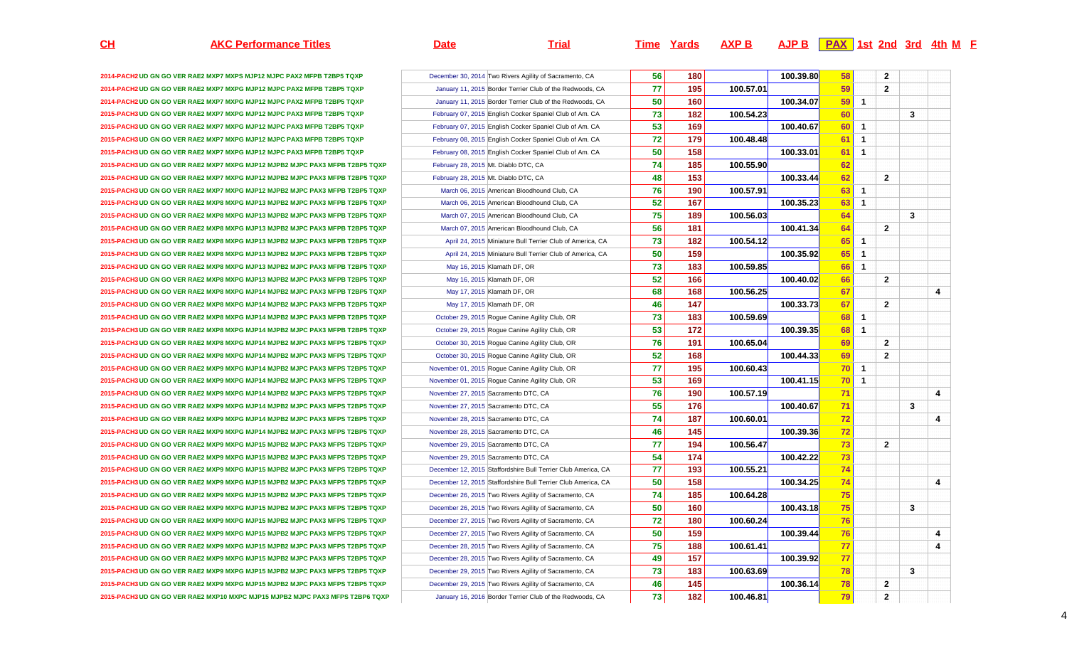## **AKC Performance Titles Date Trial Time Yards AXP B AJP B PAX 1st 2nd 3rd 4th <sup>M</sup> <sup>F</sup>**

4

| 2014-PACH2 UD GN GO VER RAE2 MXP7 MXPS MJP12 MJPC PAX2 MFPB T2BP5 TQXP        | December 30, 2014 Two Rivers Agility of Sacramento, CA        |
|-------------------------------------------------------------------------------|---------------------------------------------------------------|
| 2014-PACH2 UD GN GO VER RAE2 MXP7 MXPG MJP12 MJPC PAX2 MFPB T2BP5 TQXP        | January 11, 2015 Border Terrier Club of the Redwoods, CA      |
| 2014-PACH2 UD GN GO VER RAE2 MXP7 MXPG MJP12 MJPC PAX2 MFPB T2BP5 TQXP        | January 11, 2015 Border Terrier Club of the Redwoods, CA      |
| 2015-PACH3 UD GN GO VER RAE2 MXP7 MXPG MJP12 MJPC PAX3 MFPB T2BP5 TQXP        | February 07, 2015 English Cocker Spaniel Club of Am. CA       |
| 2015-PACH3 UD GN GO VER RAE2 MXP7 MXPG MJP12 MJPC PAX3 MFPB T2BP5 TQXP        | February 07, 2015 English Cocker Spaniel Club of Am. CA       |
| 2015-PACH3 UD GN GO VER RAE2 MXP7 MXPG MJP12 MJPC PAX3 MFPB T2BP5 TQXP        | February 08, 2015 English Cocker Spaniel Club of Am. CA       |
| 2015-PACH3 UD GN GO VER RAE2 MXP7 MXPG MJP12 MJPC PAX3 MFPB T2BP5 TQXP        | February 08, 2015 English Cocker Spaniel Club of Am. CA       |
| 2015-PACH3 UD GN GO VER RAE2 MXP7 MXPG MJP12 MJPB2 MJPC PAX3 MFPB T2BP5 TQXP  | February 28, 2015 Mt. Diablo DTC, CA                          |
| 2015-PACH3 UD GN GO VER RAE2 MXP7 MXPG MJP12 MJPB2 MJPC PAX3 MFPB T2BP5 TQXP  | February 28, 2015 Mt. Diablo DTC, CA                          |
| 2015-PACH3 UD GN GO VER RAE2 MXP7 MXPG MJP12 MJPB2 MJPC PAX3 MFPB T2BP5 TQXP  | March 06, 2015 American Bloodhound Club, CA                   |
| 2015-PACH3 UD GN GO VER RAE2 MXP8 MXPG MJP13 MJPB2 MJPC PAX3 MFPB T2BP5 TQXP  | March 06, 2015 American Bloodhound Club, CA                   |
| 2015-PACH3 UD GN GO VER RAE2 MXP8 MXPG MJP13 MJPB2 MJPC PAX3 MFPB T2BP5 TQXP  | March 07, 2015 American Bloodhound Club, CA                   |
| 2015-PACH3 UD GN GO VER RAE2 MXP8 MXPG MJP13 MJPB2 MJPC PAX3 MFPB T2BP5 TQXP  | March 07, 2015 American Bloodhound Club, CA                   |
| 2015-PACH3 UD GN GO VER RAE2 MXP8 MXPG MJP13 MJPB2 MJPC PAX3 MFPB T2BP5 TQXP  | April 24, 2015 Miniature Bull Terrier Club of America, CA     |
| 2015-PACH3 UD GN GO VER RAE2 MXP8 MXPG MJP13 MJPB2 MJPC PAX3 MFPB T2BP5 TQXP  | April 24, 2015 Miniature Bull Terrier Club of America, CA     |
| 2015-PACH3 UD GN GO VER RAE2 MXP8 MXPG MJP13 MJPB2 MJPC PAX3 MFPB T2BP5 TQXP  | May 16, 2015 Klamath DF, OR                                   |
| 2015-PACH3 UD GN GO VER RAE2 MXP8 MXPG MJP13 MJPB2 MJPC PAX3 MFPB T2BP5 TQXP  | May 16, 2015 Klamath DF, OR                                   |
| 2015-PACH3 UD GN GO VER RAE2 MXP8 MXPG MJP14 MJPB2 MJPC PAX3 MFPB T2BP5 TQXP  | May 17, 2015 Klamath DF, OR                                   |
| 2015-PACH3 UD GN GO VER RAE2 MXP8 MXPG MJP14 MJPB2 MJPC PAX3 MFPB T2BP5 TQXP  | May 17, 2015 Klamath DF, OR                                   |
| 2015-PACH3 UD GN GO VER RAE2 MXP8 MXPG MJP14 MJPB2 MJPC PAX3 MFPB T2BP5 TQXP  | October 29, 2015 Rogue Canine Agility Club, OR                |
| 2015-PACH3 UD GN GO VER RAE2 MXP8 MXPG MJP14 MJPB2 MJPC PAX3 MFPB T2BP5 TQXP  | October 29, 2015 Rogue Canine Agility Club, OR                |
| 2015-PACH3 UD GN GO VER RAE2 MXP8 MXPG MJP14 MJPB2 MJPC PAX3 MFPS T2BP5 TQXP  | October 30, 2015 Rogue Canine Agility Club, OR                |
| 2015-PACH3 UD GN GO VER RAE2 MXP8 MXPG MJP14 MJPB2 MJPC PAX3 MFPS T2BP5 TQXP  | October 30, 2015 Rogue Canine Agility Club, OR                |
| 2015-PACH3 UD GN GO VER RAE2 MXP9 MXPG MJP14 MJPB2 MJPC PAX3 MFPS T2BP5 TQXP  | November 01, 2015 Rogue Canine Agility Club, OR               |
| 2015-PACH3 UD GN GO VER RAE2 MXP9 MXPG MJP14 MJPB2 MJPC PAX3 MFPS T2BP5 TQXP  | November 01, 2015 Rogue Canine Agility Club, OR               |
| 2015-PACH3 UD GN GO VER RAE2 MXP9 MXPG MJP14 MJPB2 MJPC PAX3 MFPS T2BP5 TQXP  | November 27, 2015 Sacramento DTC, CA                          |
| 2015-PACH3 UD GN GO VER RAE2 MXP9 MXPG MJP14 MJPB2 MJPC PAX3 MFPS T2BP5 TQXP  | November 27, 2015 Sacramento DTC, CA                          |
| 2015-PACH3 UD GN GO VER RAE2 MXP9 MXPG MJP14 MJPB2 MJPC PAX3 MFPS T2BP5 TQXP  | November 28, 2015 Sacramento DTC, CA                          |
| 2015-PACH3 UD GN GO VER RAE2 MXP9 MXPG MJP14 MJPB2 MJPC PAX3 MFPS T2BP5 TQXP  | November 28, 2015 Sacramento DTC, CA                          |
| 2015-PACH3 UD GN GO VER RAE2 MXP9 MXPG MJP15 MJPB2 MJPC PAX3 MFPS T2BP5 TQXP  | November 29, 2015 Sacramento DTC, CA                          |
| 2015-PACH3 UD GN GO VER RAE2 MXP9 MXPG MJP15 MJPB2 MJPC PAX3 MFPS T2BP5 TQXP  | November 29, 2015 Sacramento DTC, CA                          |
| 2015-PACH3 UD GN GO VER RAE2 MXP9 MXPG MJP15 MJPB2 MJPC PAX3 MFPS T2BP5 TQXP  | December 12, 2015 Staffordshire Bull Terrier Club America, C. |
| 2015-PACH3 UD GN GO VER RAE2 MXP9 MXPG MJP15 MJPB2 MJPC PAX3 MFPS T2BP5 TQXP  | December 12, 2015 Staffordshire Bull Terrier Club America, C. |
| 2015-PACH3 UD GN GO VER RAE2 MXP9 MXPG MJP15 MJPB2 MJPC PAX3 MFPS T2BP5 TQXP  | December 26, 2015 Two Rivers Agility of Sacramento, CA        |
| 2015-PACH3 UD GN GO VER RAE2 MXP9 MXPG MJP15 MJPB2 MJPC PAX3 MFPS T2BP5 TQXP  | December 26, 2015 Two Rivers Agility of Sacramento, CA        |
| 2015-PACH3 UD GN GO VER RAE2 MXP9 MXPG MJP15 MJPB2 MJPC PAX3 MFPS T2BP5 TQXP  | December 27, 2015 Two Rivers Agility of Sacramento, CA        |
| 2015-PACH3 UD GN GO VER RAE2 MXP9 MXPG MJP15 MJPB2 MJPC PAX3 MFPS T2BP5 TQXP  | December 27, 2015 Two Rivers Agility of Sacramento, CA        |
| 2015-PACH3 UD GN GO VER RAE2 MXP9 MXPG MJP15 MJPB2 MJPC PAX3 MFPS T2BP5 TQXP  | December 28, 2015 Two Rivers Agility of Sacramento, CA        |
| 2015-PACH3 UD GN GO VER RAE2 MXP9 MXPG MJP15 MJPB2 MJPC PAX3 MFPS T2BP5 TQXP  | December 28, 2015 Two Rivers Agility of Sacramento, CA        |
| 2015-PACH3 UD GN GO VER RAE2 MXP9 MXPG MJP15 MJPB2 MJPC PAX3 MFPS T2BP5 TQXP  | December 29, 2015 Two Rivers Agility of Sacramento, CA        |
| 2015-PACH3 UD GN GO VER RAE2 MXP9 MXPG MJP15 MJPB2 MJPC PAX3 MFPS T2BP5 TQXP  | December 29, 2015 Two Rivers Agility of Sacramento, CA        |
| 2015-PACH3 UD GN GO VER RAE2 MXP10 MXPC MJP15 MJPB2 MJPC PAX3 MFPS T2BP6 TQXP | January 16, 2016 Border Terrier Club of the Redwoods, CA      |

|    | December 30, 2014 Two Rivers Agility of Sacramento, CA        | 56 | 180 |           | 100.39.80 | 58 |              | 2              |   |   |
|----|---------------------------------------------------------------|----|-----|-----------|-----------|----|--------------|----------------|---|---|
|    | January 11, 2015 Border Terrier Club of the Redwoods, CA      | 77 | 195 | 100.57.01 |           | 59 |              | $\mathbf{2}$   |   |   |
|    | January 11, 2015 Border Terrier Club of the Redwoods, CA      | 50 | 160 |           | 100.34.07 | 59 | 1            |                |   |   |
|    | February 07, 2015 English Cocker Spaniel Club of Am. CA       | 73 | 182 | 100.54.23 |           | 60 |              |                | 3 |   |
|    | February 07, 2015 English Cocker Spaniel Club of Am. CA       | 53 | 169 |           | 100.40.67 | 60 | 1            |                |   |   |
|    | February 08, 2015 English Cocker Spaniel Club of Am. CA       | 72 | 179 | 100.48.48 |           | 61 | 1            |                |   |   |
|    | February 08, 2015 English Cocker Spaniel Club of Am. CA       | 50 | 158 |           | 100.33.01 | 61 | 1            |                |   |   |
| P  | February 28, 2015 Mt. Diablo DTC, CA                          | 74 | 185 | 100.55.90 |           | 62 |              |                |   |   |
| P  | February 28, 2015 Mt. Diablo DTC, CA                          | 48 | 153 |           | 100.33.44 | 62 |              | $\overline{2}$ |   |   |
| P  | March 06, 2015 American Bloodhound Club, CA                   | 76 | 190 | 100.57.91 |           | 63 | 1            |                |   |   |
| P  | March 06, 2015 American Bloodhound Club, CA                   | 52 | 167 |           | 100.35.23 | 63 | 1            |                |   |   |
| P  | March 07, 2015 American Bloodhound Club, CA                   | 75 | 189 | 100.56.03 |           | 64 |              |                | 3 |   |
| P  | March 07, 2015 American Bloodhound Club, CA                   | 56 | 181 |           | 100.41.34 | 64 |              | 2              |   |   |
| P  | April 24, 2015 Miniature Bull Terrier Club of America, CA     | 73 | 182 | 100.54.12 |           | 65 | $\mathbf{1}$ |                |   |   |
| P  | April 24, 2015 Miniature Bull Terrier Club of America, CA     | 50 | 159 |           | 100.35.92 | 65 | 1            |                |   |   |
| P  | May 16, 2015 Klamath DF, OR                                   | 73 | 183 | 100.59.85 |           | 66 | $\mathbf{1}$ |                |   |   |
| P  | May 16, 2015 Klamath DF, OR                                   | 52 | 166 |           | 100.40.02 | 66 |              | $\mathbf{2}$   |   |   |
| P  | May 17, 2015 Klamath DF, OR                                   | 68 | 168 | 100.56.25 |           | 67 |              |                |   | 4 |
| P  | May 17, 2015 Klamath DF, OR                                   | 46 | 147 |           | 100.33.73 | 67 |              | $\mathbf{2}$   |   |   |
| P  | October 29, 2015 Rogue Canine Agility Club, OR                | 73 | 183 | 100.59.69 |           | 68 | 1            |                |   |   |
| P  | October 29, 2015 Rogue Canine Agility Club, OR                | 53 | 172 |           | 100.39.35 | 68 | $\mathbf{1}$ |                |   |   |
| P  | October 30, 2015 Rogue Canine Agility Club, OR                | 76 | 191 | 100.65.04 |           | 69 |              | $\mathbf{2}$   |   |   |
|    | October 30, 2015 Rogue Canine Agility Club, OR                | 52 | 168 |           | 100.44.33 | 69 |              | $\mathbf{2}$   |   |   |
|    | November 01, 2015 Rogue Canine Agility Club, OR               | 77 | 195 | 100.60.43 |           | 70 | 1            |                |   |   |
|    | November 01, 2015 Rogue Canine Agility Club, OR               | 53 | 169 |           | 100.41.15 | 70 | 1            |                |   |   |
| P  | November 27, 2015 Sacramento DTC, CA                          | 76 | 190 | 100.57.19 |           | 71 |              |                |   | 4 |
| P  | November 27, 2015 Sacramento DTC, CA                          | 55 | 176 |           | 100.40.67 | 71 |              |                | 3 |   |
|    | November 28, 2015 Sacramento DTC, CA                          | 74 | 187 | 100.60.01 |           | 72 |              |                |   | 4 |
|    | November 28, 2015 Sacramento DTC, CA                          | 46 | 145 |           | 100.39.36 | 72 |              |                |   |   |
|    | November 29, 2015 Sacramento DTC, CA                          | 77 | 194 | 100.56.47 |           | 73 |              | $\mathbf{2}$   |   |   |
| P  | November 29, 2015 Sacramento DTC, CA                          | 54 | 174 |           | 100.42.22 | 73 |              |                |   |   |
|    | December 12, 2015 Staffordshire Bull Terrier Club America, CA | 77 | 193 | 100.55.21 |           | 74 |              |                |   |   |
|    | December 12, 2015 Staffordshire Bull Terrier Club America, CA | 50 | 158 |           | 100.34.25 | 74 |              |                |   | 4 |
| P  | December 26, 2015 Two Rivers Agility of Sacramento, CA        | 74 | 185 | 100.64.28 |           | 75 |              |                |   |   |
| P  | December 26, 2015 Two Rivers Agility of Sacramento, CA        | 50 | 160 |           | 100.43.18 | 75 |              |                | 3 |   |
| P  | December 27, 2015 Two Rivers Agility of Sacramento, CA        | 72 | 180 | 100.60.24 |           | 76 |              |                |   |   |
|    | December 27, 2015 Two Rivers Agility of Sacramento, CA        | 50 | 159 |           | 100.39.44 | 76 |              |                |   | 4 |
|    | December 28, 2015 Two Rivers Agility of Sacramento, CA        | 75 | 188 | 100.61.41 |           | 77 |              |                |   | 4 |
|    | December 28, 2015 Two Rivers Agility of Sacramento, CA        | 49 | 157 |           | 100.39.92 | 77 |              |                |   |   |
| P  | December 29, 2015 Two Rivers Agility of Sacramento, CA        | 73 | 183 | 100.63.69 |           | 78 |              |                | 3 |   |
|    | December 29, 2015 Two Rivers Agility of Sacramento, CA        | 46 | 145 |           | 100.36.14 | 78 |              | $\mathbf{2}$   |   |   |
| ΚP | January 16, 2016 Border Terrier Club of the Redwoods, CA      | 73 | 182 | 100.46.81 |           | 79 |              | $\overline{2}$ |   |   |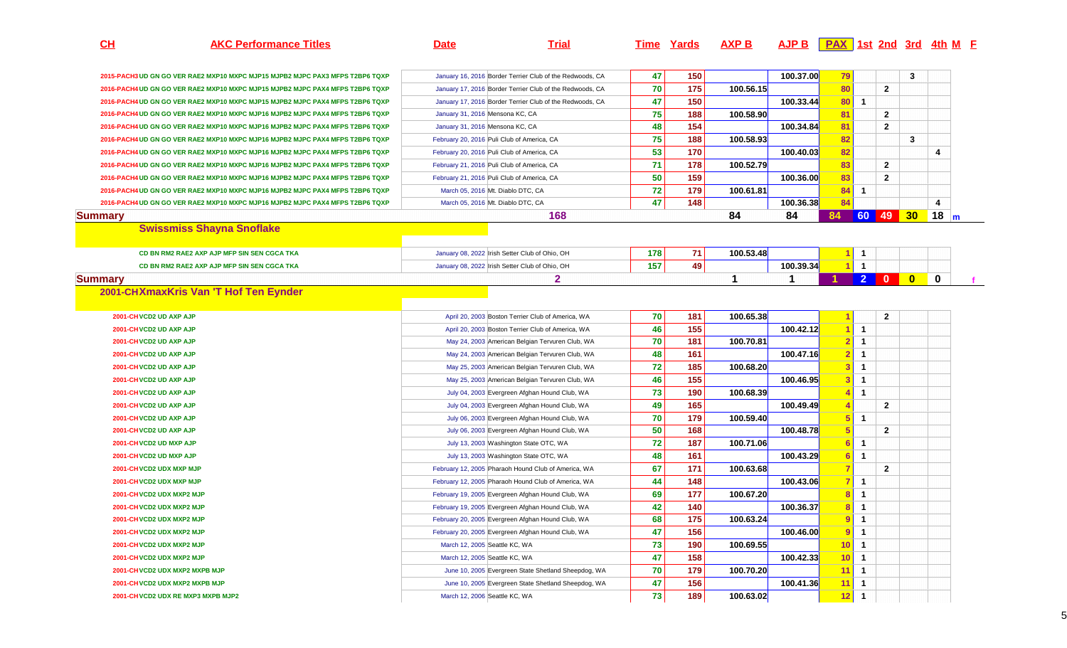**CH**

**AKC Performance Titles Date Trial Time Yards AXP B AJP B PAX 1st 2nd 3rd 4th <sup>M</sup> <sup>F</sup>**

| 2015-PACH3 UD GN GO VER RAE2 MXP10 MXPC MJP15 MJPB2 MJPC PAX3 MFPS T2BP6 TQXP |                                 | January 16, 2016 Border Terrier Club of the Redwoods, CA | 47       | 150        |             | 100.37.00            | 79              |                |                | 3                       |                |
|-------------------------------------------------------------------------------|---------------------------------|----------------------------------------------------------|----------|------------|-------------|----------------------|-----------------|----------------|----------------|-------------------------|----------------|
| 2016-PACH4 UD GN GO VER RAE2 MXP10 MXPC MJP15 MJPB2 MJPC PAX4 MFPS T2BP6 TQXP |                                 | January 17, 2016 Border Terrier Club of the Redwoods, CA | 70       | 175        | 100.56.15   |                      | 80              |                | $\overline{2}$ |                         |                |
| 2016-PACH4 UD GN GO VER RAE2 MXP10 MXPC MJP15 MJPB2 MJPC PAX4 MFPS T2BP6 TQXP |                                 | January 17, 2016 Border Terrier Club of the Redwoods, CA | 47       | 150        |             | 100.33.44            | 80              | $\overline{1}$ |                |                         |                |
| 2016-PACH4 UD GN GO VER RAE2 MXP10 MXPC MJP16 MJPB2 MJPC PAX4 MFPS T2BP6 TQXP | January 31, 2016 Mensona KC, CA |                                                          | 75       | 188        | 100.58.90   |                      | 81              |                | $\overline{2}$ |                         |                |
| 2016-PACH4 UD GN GO VER RAE2 MXP10 MXPC MJP16 MJPB2 MJPC PAX4 MFPS T2BP6 TQXP | January 31, 2016 Mensona KC, CA |                                                          | 48       | 154        |             | 100.34.84            | 81              |                | $\overline{2}$ |                         |                |
| 2016-PACH4 UD GN GO VER RAE2 MXP10 MXPC MJP16 MJPB2 MJPC PAX4 MFPS T2BP6 TQXP |                                 | February 20, 2016 Puli Club of America, CA               | 75       | 188        | 100.58.93   |                      | 82              |                |                | 3                       |                |
| 2016-PACH4 UD GN GO VER RAE2 MXP10 MXPC MJP16 MJPB2 MJPC PAX4 MFPS T2BP6 TQXP |                                 | February 20, 2016 Puli Club of America, CA               | 53       | 170        |             | 100.40.03            | 82              |                |                |                         | 4              |
| 2016-PACH4 UD GN GO VER RAE2 MXP10 MXPC MJP16 MJPB2 MJPC PAX4 MFPS T2BP6 TQXP |                                 | February 21, 2016 Puli Club of America, CA               | 71       | 178        | 100.52.79   |                      | 83              |                | $\mathbf{2}$   |                         |                |
| 2016-PACH4 UD GN GO VER RAE2 MXP10 MXPC MJP16 MJPB2 MJPC PAX4 MFPS T2BP6 TQXP |                                 | February 21, 2016 Puli Club of America, CA               | 50       | 159        |             | 100.36.00            | 83              |                | $\mathbf{2}$   |                         |                |
| 2016-PACH4 UD GN GO VER RAE2 MXP10 MXPC MJP16 MJPB2 MJPC PAX4 MFPS T2BP6 TQXP |                                 | March 05, 2016 Mt. Diablo DTC, CA                        | 72       | 179        | 100.61.81   |                      | 84              | $\mathbf{1}$   |                |                         |                |
| 2016-PACH4 UD GN GO VER RAE2 MXP10 MXPC MJP16 MJPB2 MJPC PAX4 MFPS T2BP6 TQXP |                                 | March 05, 2016 Mt. Diablo DTC, CA                        | 47       | 148        |             | 100.36.38            | 84              |                |                |                         | $\overline{4}$ |
| <b>Summary</b>                                                                |                                 | 168                                                      |          |            | 84          | 84                   | 84              |                | 60 49 30       |                         | 18             |
| <b>Swissmiss Shayna Snoflake</b>                                              |                                 |                                                          |          |            |             |                      |                 |                |                |                         |                |
|                                                                               |                                 |                                                          |          |            |             |                      |                 |                |                |                         |                |
| CD BN RM2 RAE2 AXP AJP MFP SIN SEN CGCA TKA                                   |                                 | January 08, 2022 Irish Setter Club of Ohio, OH           | 178      | 71         | 100.53.48   |                      |                 | $\overline{1}$ |                |                         |                |
| CD BN RM2 RAE2 AXP AJP MFP SIN SEN CGCA TKA                                   |                                 | January 08, 2022 Irish Setter Club of Ohio, OH           | 157      | 49         |             | 100.39.34            |                 | $\overline{1}$ |                |                         |                |
| <b>Summary</b>                                                                |                                 | $\mathbf{2}$                                             |          |            | $\mathbf 1$ | $\blacktriangleleft$ |                 | 2 <sup>1</sup> | $\mathbf{0}$   | $\overline{\mathbf{0}}$ | $\bf{0}$       |
| 2001-CHXmaxKris Van 'T Hof Ten Eynder                                         |                                 |                                                          |          |            |             |                      |                 |                |                |                         |                |
|                                                                               |                                 |                                                          |          |            |             |                      |                 |                |                |                         |                |
| 2001-CH VCD2 UD AXP AJP                                                       |                                 | April 20, 2003 Boston Terrier Club of America, WA        | 70       | 181        | 100.65.38   |                      |                 |                | $\mathbf{2}$   |                         |                |
| 2001-CH VCD2 UD AXP AJP                                                       |                                 | April 20, 2003 Boston Terrier Club of America, WA        | 46       | 155        |             | 100.42.12            |                 | $\overline{1}$ |                |                         |                |
| 2001-CH VCD2 UD AXP AJP                                                       |                                 | May 24, 2003 American Belgian Tervuren Club, WA          | 70       | 181        | 100.70.81   |                      | 2 <sub>1</sub>  | $\overline{1}$ |                |                         |                |
| 2001-CH VCD2 UD AXP AJP                                                       |                                 | May 24, 2003 American Belgian Tervuren Club, WA          | 48       | 161        |             | 100.47.16            | 2               | $\overline{1}$ |                |                         |                |
| 2001-CH VCD2 UD AXP AJP                                                       |                                 | May 25, 2003 American Belgian Tervuren Club, WA          | 72       | 185        | 100.68.20   |                      | $\mathbf{3}$    | $\overline{1}$ |                |                         |                |
|                                                                               |                                 |                                                          |          |            |             |                      |                 |                |                |                         |                |
| 2001-CH VCD2 UD AXP AJP                                                       |                                 | May 25, 2003 American Belgian Tervuren Club, WA          | 46       | 155        |             | 100.46.95            | <b>3</b>        | $\overline{1}$ |                |                         |                |
| 2001-CH VCD2 UD AXP AJP                                                       |                                 | July 04, 2003 Evergreen Afghan Hound Club, WA            | 73       | 190        | 100.68.39   |                      |                 | $\overline{1}$ |                |                         |                |
| 2001-CH VCD2 UD AXP AJP                                                       |                                 | July 04, 2003 Evergreen Afghan Hound Club, WA            | 49       | 165        |             | 100.49.49            |                 |                | $\mathbf{2}$   |                         |                |
| 2001-CH VCD2 UD AXP AJP                                                       |                                 | July 06, 2003 Evergreen Afghan Hound Club, WA            | 70       | 179        | 100.59.40   |                      |                 | $\overline{1}$ |                |                         |                |
| 2001-CH VCD2 UD AXP AJP                                                       |                                 | July 06, 2003 Evergreen Afghan Hound Club, WA            | 50       | 168        |             | 100.48.78            | $5\phantom{.0}$ |                | $\mathbf{2}$   |                         |                |
| 2001-CH VCD2 UD MXP AJP                                                       |                                 | July 13, 2003 Washington State OTC, WA                   | 72       | 187        | 100.71.06   |                      |                 | $\mathbf{1}$   |                |                         |                |
| 2001-CH VCD2 UD MXP AJP                                                       |                                 | July 13, 2003 Washington State OTC, WA                   | 48       | 161        |             | 100.43.29            | 6               | $\overline{1}$ |                |                         |                |
| 2001-CH VCD2 UDX MXP MJP                                                      |                                 | February 12, 2005 Pharaoh Hound Club of America, WA      | 67       | 171        | 100.63.68   |                      |                 |                | $\overline{2}$ |                         |                |
| 2001-CH VCD2 UDX MXP MJP                                                      |                                 | February 12, 2005 Pharaoh Hound Club of America, WA      | 44       | 148        |             | 100.43.06            |                 | $\overline{1}$ |                |                         |                |
| 2001-CH VCD2 UDX MXP2 MJP                                                     |                                 | February 19, 2005 Evergreen Afghan Hound Club, WA        | 69       | 177        | 100.67.20   |                      | 8               | $\overline{1}$ |                |                         |                |
| 2001-CH VCD2 UDX MXP2 MJP                                                     |                                 | February 19, 2005 Evergreen Afghan Hound Club, WA        | 42       | 140        |             | 100.36.37            | 8               | $\overline{1}$ |                |                         |                |
| 2001-CH VCD2 UDX MXP2 MJP                                                     |                                 | February 20, 2005 Evergreen Afghan Hound Club, WA        | 68       | 175        | 100.63.24   |                      | 9               | $\overline{1}$ |                |                         |                |
| 2001-CH VCD2 UDX MXP2 MJP                                                     |                                 | February 20, 2005 Evergreen Afghan Hound Club, WA        |          | 156        |             | 100.46.00            | 9               | $\overline{1}$ |                |                         |                |
| 2001-CH VCD2 UDX MXP2 MJP                                                     | March 12, 2005 Seattle KC, WA   |                                                          | 47       |            | 100.69.55   |                      | 10 <sup>1</sup> | $\overline{1}$ |                |                         |                |
| 2001-CH VCD2 UDX MXP2 MJP                                                     | March 12, 2005 Seattle KC, WA   |                                                          | 73       | 190        |             | 100.42.33            | 10 <sup>1</sup> | $\overline{1}$ |                |                         |                |
| 2001-CH VCD2 UDX MXP2 MXPB MJP                                                |                                 | June 10, 2005 Evergreen State Shetland Sheepdog, WA      | 47       | 158        |             |                      |                 | $\overline{1}$ |                |                         |                |
| 2001-CH VCD2 UDX MXP2 MXPB MJP                                                |                                 | June 10, 2005 Evergreen State Shetland Sheepdog, WA      | 70<br>47 | 179<br>156 | 100.70.20   | 100.41.36            | 11<br>11        | $\overline{1}$ |                |                         |                |